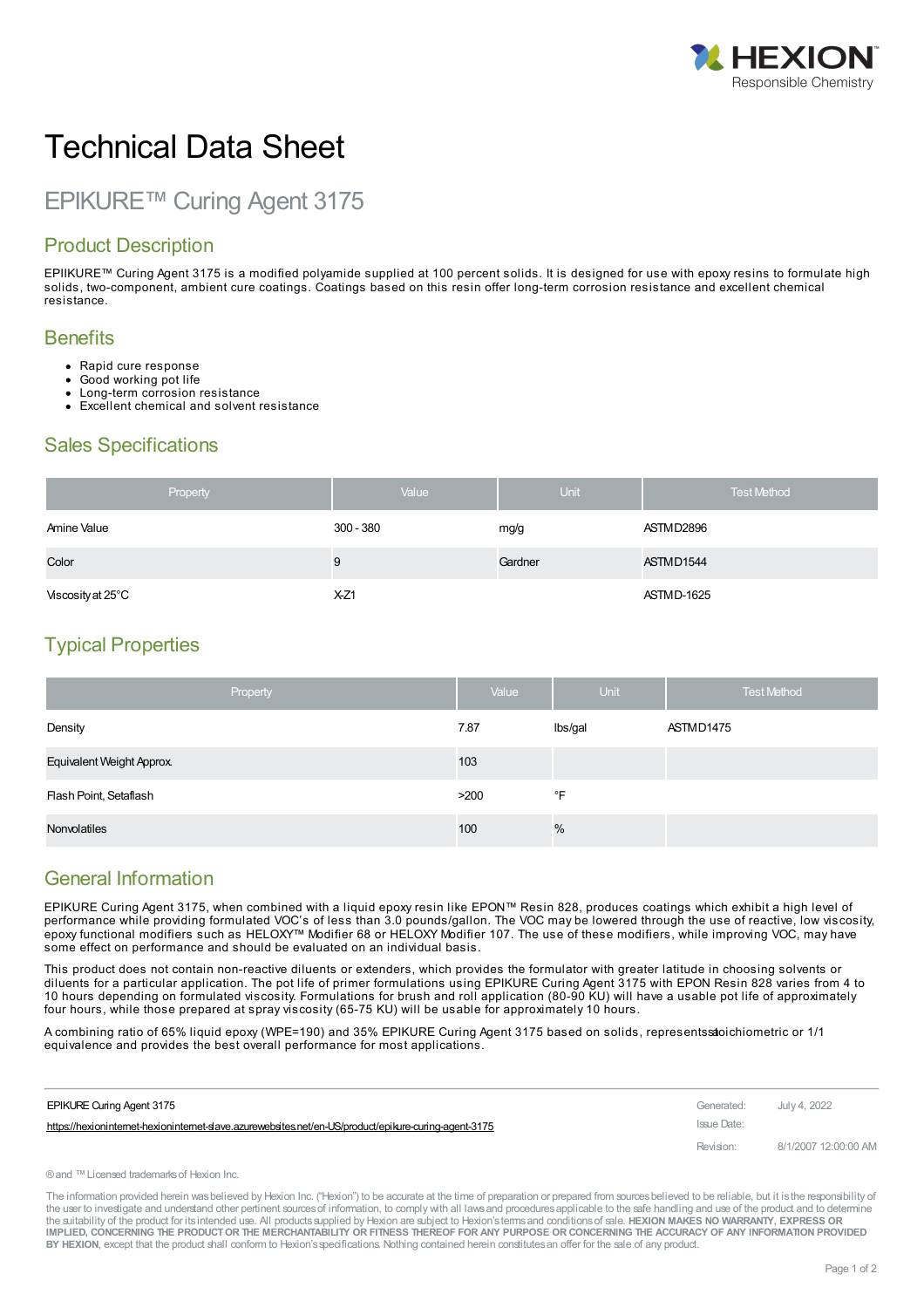

# Technical Data Sheet

# EPIKURE™ Curing Agent 3175

### Product Description

EPIIKURE™ Curing Agent 3175 is a modified polyamide supplied at 100 percent solids. It is designed for use with epoxy resins to formulate high solids, two-component, ambient cure coatings. Coatings based on this resin offer long-term corrosion resistance and excellent chemical resistance.

#### **Benefits**

- Rapid cure response
- Good working pot life
- Long-term corrosion resistance Excellent chemical and solvent resistance

#### Sales Specifications

| Property          | Value       | <b>Unit</b> | <b>Test Method</b> |
|-------------------|-------------|-------------|--------------------|
| Amine Value       | $300 - 380$ | mg/g        | ASTMD2896          |
| Color             | 9           | Gardner     | ASTMD1544          |
| Viscosity at 25°C | $X-Z1$      |             | <b>ASTMD-1625</b>  |

#### Typical Properties

| Property                        | Value | <b>Unit</b> | <b>Test Method</b> |
|---------------------------------|-------|-------------|--------------------|
| Density                         | 7.87  | Ibs/gal     | ASTMD1475          |
| <b>Equivalent Weight Approx</b> | 103   |             |                    |
| Flash Point, Setaflash          | >200  | °F          |                    |
| Nonvolatiles                    | 100   | $\%$        |                    |

#### General Information

EPIKURE Curing Agent 3175, when combined with a liquid epoxy resin like EPON™ Resin 828, produces coatings which exhibit a high level of performance while providing formulated VOC's of less than 3.0 pounds/gallon. The VOC may be lowered through the use of reactive, low viscosity, epoxy functional modifiers such as HELOXY™ Modifier 68 or HELOXY Modifier 107. The use of these modifiers, while improving VOC, may have some effect on performance and should be evaluated on an individual basis.

This product does not contain non-reactive diluents or extenders, which provides the formulator with greater latitude in choosing solvents or diluents for a particular application. The pot life of primer formulations using EPIKURE Curing Agent 3175 with EPON Resin 828 varies from 4 to 10 hours depending on formulated viscosity. Formulations for brush and roll application (80-90 KU) will have a usable pot life of approximately four hours, while those prepared at spray viscosity (65-75 KU) will be usable for approximately 10 hours.

A combining ratio of 65% liquid epoxy (WPE=190) and 35% EPIKURE Curing Agent 3175 based on solids, representssatoichiometric or 1/1 equivalence and provides the best overall performance for most applications.

| <b>EPIKURE Curing Agent 3175</b>                                                                    | Generated:  | July 4, 2022         |
|-----------------------------------------------------------------------------------------------------|-------------|----------------------|
| https://hexionintemet-hexionintemet-slave.azurewebsites.net/en-US/product/epikure-curing-agent-3175 | Issue Date: |                      |
|                                                                                                     | Revision:   | 8/1/2007 12:00:00 AM |

®and ™Licensed trademarksof Hexion Inc.

The information provided herein was believed by Hexion Inc. ("Hexion") to be accurate at the time of preparation or prepared from sources believed to be reliable, but it is the responsibility of the user to investigate and understand other pertinent sources of information, to comply with all laws and procedures applicable to the safe handling and use of the product and to determine the suitability of the product for itsintended use. All productssupplied by Hexion are subject to Hexion'stermsand conditionsof sale. **HEXION MAKES NO WARRANTY, EXPRESS OR** IMPLIED, CONCERNING THE PRODUCT OR THE MERCHANTABILITY OR FITNESS THEREOF FOR ANY PURPOSE OR CONCERNING THE ACCURACY OF ANY INFORMATION PROVIDED **BY HEXION**, except that the product shall conform to Hexion'sspecifications. Nothing contained herein constitutesan offer for the sale of any product.